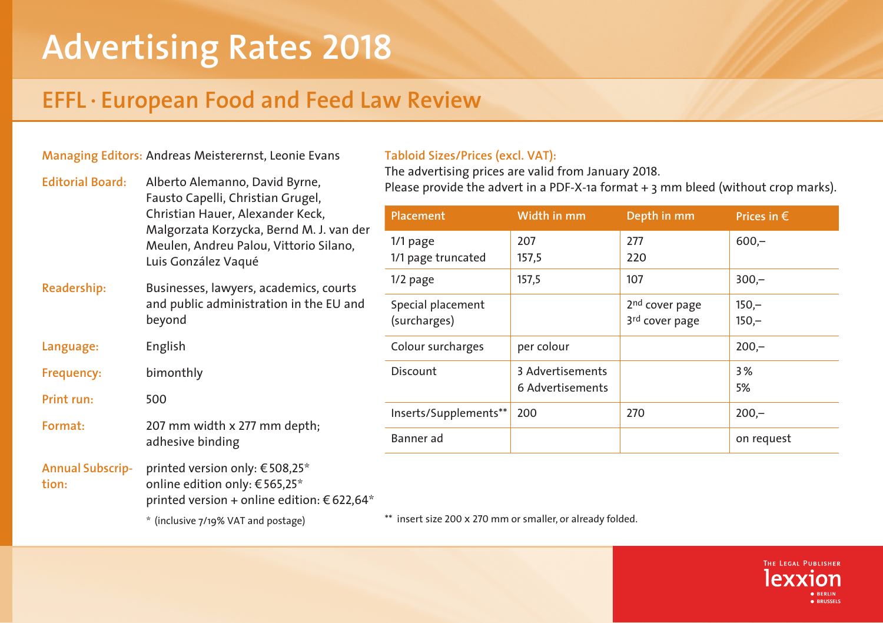# **Advertising Rates 2018**

## **EFFL · European Food and Feed Law Review**

### **Managing Editors:** Andreas Meisterernst, Leonie Evans

| <b>Editorial Board:</b>          | Alberto Alemanno, David Byrne,<br>Fausto Capelli, Christian Grugel,<br>Christian Hauer, Alexander Keck,<br>Malgorzata Korzycka, Bernd M. J. van der<br>Meulen, Andreu Palou, Vittorio Silano,<br>Luis González Vaqué |
|----------------------------------|----------------------------------------------------------------------------------------------------------------------------------------------------------------------------------------------------------------------|
| Readership:                      | Businesses, lawyers, academics, courts<br>and public administration in the EU and<br>beyond                                                                                                                          |
| Language:                        | English                                                                                                                                                                                                              |
| Frequency:                       | bimonthly                                                                                                                                                                                                            |
| Print run:                       | 500                                                                                                                                                                                                                  |
| Format:                          | 207 mm width x 277 mm depth;<br>adhesive binding                                                                                                                                                                     |
| <b>Annual Subscrip-</b><br>tion: | printed version only: €508,25*<br>online edition only: €565,25*<br>printed version + online edition: €622,64*                                                                                                        |
|                                  | * (inclusive 7/19% VAT and postage)                                                                                                                                                                                  |

#### **Tabloid Sizes/Prices (excl. VAT):**

The advertising prices are valid from January 2018. Please provide the advert in a PDF-X-1a format + 3 mm bleed (without crop marks).

| Placement                         | Width in mm                          | Depth in mm                                  | Prices in $\epsilon$ |
|-----------------------------------|--------------------------------------|----------------------------------------------|----------------------|
| $1/1$ page<br>1/1 page truncated  | 207<br>157,5                         | 277<br>220                                   | $600 -$              |
| $1/2$ page                        | 157,5                                | 107                                          | $300 -$              |
| Special placement<br>(surcharges) |                                      | 2 <sup>nd</sup> cover page<br>3rd cover page | $150 -$<br>$150 -$   |
| Colour surcharges                 | per colour                           |                                              | $200 -$              |
| Discount                          | 3 Advertisements<br>6 Advertisements |                                              | 3%<br>5%             |
| Inserts/Supplements**             | 200                                  | 270                                          | $200 -$              |
| Banner ad                         |                                      |                                              | on request           |

\*\* insert size 200 x 270 mm or smaller, or already folded.

THE LEGAL PUBLISHER lex: **RRUSSED**